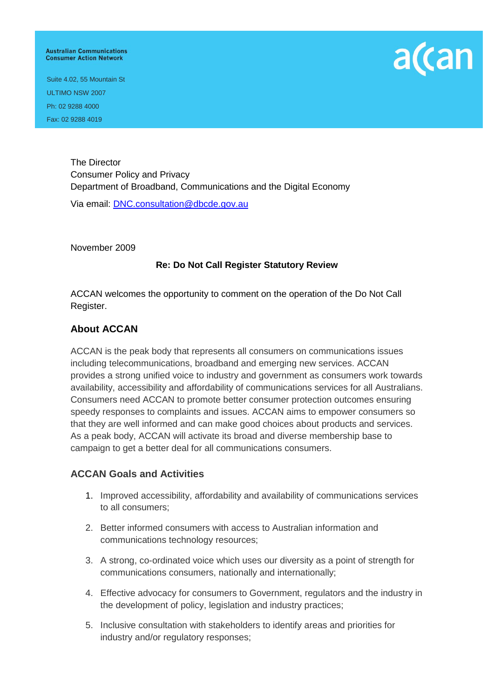#### **Australian Communications Consumer Action Network**



Suite 4.02, 55 Mountain St ULTIMO NSW 2007 Ph: 02 9288 4000 Fax: 02 9288 4019

> The Director Consumer Policy and Privacy Department of Broadband, Communications and the Digital Economy

Via email: [DNC.consultation@dbcde.gov.au](mailto:DNC.consultation@dbcde.gov.au)

November 2009

# **Re: Do Not Call Register Statutory Review**

ACCAN welcomes the opportunity to comment on the operation of the Do Not Call Register.

### **About ACCAN**

ACCAN is the peak body that represents all consumers on communications issues including telecommunications, broadband and emerging new services. ACCAN provides a strong unified voice to industry and government as consumers work towards availability, accessibility and affordability of communications services for all Australians. Consumers need ACCAN to promote better consumer protection outcomes ensuring speedy responses to complaints and issues. ACCAN aims to empower consumers so that they are well informed and can make good choices about products and services. As a peak body, ACCAN will activate its broad and diverse membership base to campaign to get a better deal for all communications consumers.

# **ACCAN Goals and Activities**

- 1. Improved accessibility, affordability and availability of communications services to all consumers;
- 2. Better informed consumers with access to Australian information and communications technology resources;
- 3. A strong, co-ordinated voice which uses our diversity as a point of strength for communications consumers, nationally and internationally;
- 4. Effective advocacy for consumers to Government, regulators and the industry in the development of policy, legislation and industry practices;
- 5. Inclusive consultation with stakeholders to identify areas and priorities for industry and/or regulatory responses;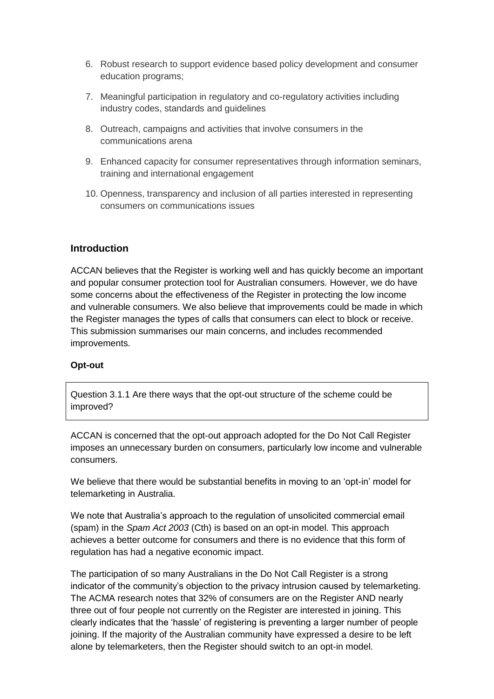- 6. Robust research to support evidence based policy development and consumer education programs;
- 7. Meaningful participation in regulatory and co-regulatory activities including industry codes, standards and guidelines
- 8. Outreach, campaigns and activities that involve consumers in the communications arena
- 9. Enhanced capacity for consumer representatives through information seminars, training and international engagement
- 10. Openness, transparency and inclusion of all parties interested in representing consumers on communications issues

# **Introduction**

ACCAN believes that the Register is working well and has quickly become an important and popular consumer protection tool for Australian consumers. However, we do have some concerns about the effectiveness of the Register in protecting the low income and vulnerable consumers. We also believe that improvements could be made in which the Register manages the types of calls that consumers can elect to block or receive. This submission summarises our main concerns, and includes recommended improvements.

### **Opt-out**

Question 3.1.1 Are there ways that the opt-out structure of the scheme could be improved?

ACCAN is concerned that the opt-out approach adopted for the Do Not Call Register imposes an unnecessary burden on consumers, particularly low income and vulnerable consumers.

We believe that there would be substantial benefits in moving to an "opt-in" model for telemarketing in Australia.

We note that Australia"s approach to the regulation of unsolicited commercial email (spam) in the *Spam Act 2003* (Cth) is based on an opt-in model. This approach achieves a better outcome for consumers and there is no evidence that this form of regulation has had a negative economic impact.

The participation of so many Australians in the Do Not Call Register is a strong indicator of the community"s objection to the privacy intrusion caused by telemarketing. The ACMA research notes that 32% of consumers are on the Register AND nearly three out of four people not currently on the Register are interested in joining. This clearly indicates that the "hassle" of registering is preventing a larger number of people joining. If the majority of the Australian community have expressed a desire to be left alone by telemarketers, then the Register should switch to an opt-in model.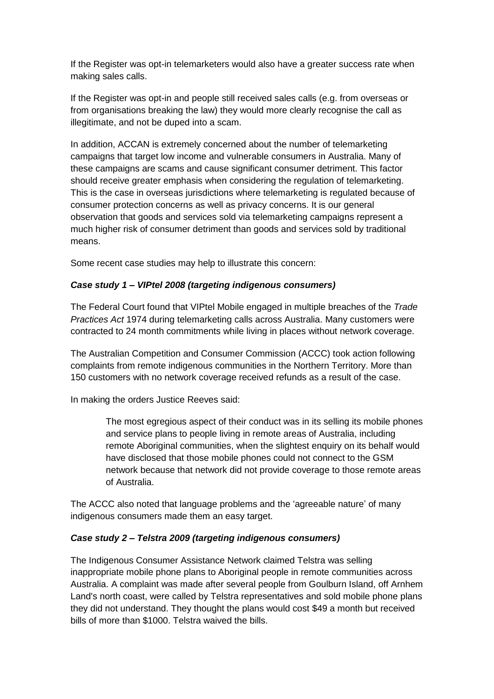If the Register was opt-in telemarketers would also have a greater success rate when making sales calls.

If the Register was opt-in and people still received sales calls (e.g. from overseas or from organisations breaking the law) they would more clearly recognise the call as illegitimate, and not be duped into a scam.

In addition, ACCAN is extremely concerned about the number of telemarketing campaigns that target low income and vulnerable consumers in Australia. Many of these campaigns are scams and cause significant consumer detriment. This factor should receive greater emphasis when considering the regulation of telemarketing. This is the case in overseas jurisdictions where telemarketing is regulated because of consumer protection concerns as well as privacy concerns. It is our general observation that goods and services sold via telemarketing campaigns represent a much higher risk of consumer detriment than goods and services sold by traditional means.

Some recent case studies may help to illustrate this concern:

# *Case study 1 – VIPtel 2008 (targeting indigenous consumers)*

The Federal Court found that VIPtel Mobile engaged in multiple breaches of the *Trade Practices Act* 1974 during telemarketing calls across Australia. Many customers were contracted to 24 month commitments while living in places without network coverage.

The Australian Competition and Consumer Commission (ACCC) took action following complaints from remote indigenous communities in the Northern Territory. More than 150 customers with no network coverage received refunds as a result of the case.

In making the orders Justice Reeves said:

The most egregious aspect of their conduct was in its selling its mobile phones and service plans to people living in remote areas of Australia, including remote Aboriginal communities, when the slightest enquiry on its behalf would have disclosed that those mobile phones could not connect to the GSM network because that network did not provide coverage to those remote areas of Australia.

The ACCC also noted that language problems and the "agreeable nature" of many indigenous consumers made them an easy target.

# *Case study 2 – Telstra 2009 (targeting indigenous consumers)*

The Indigenous Consumer Assistance Network claimed Telstra was selling inappropriate mobile phone plans to Aboriginal people in remote communities across Australia. A complaint was made after several people from Goulburn Island, off Arnhem Land's north coast, were called by Telstra representatives and sold mobile phone plans they did not understand. They thought the plans would cost \$49 a month but received bills of more than \$1000. Telstra waived the bills.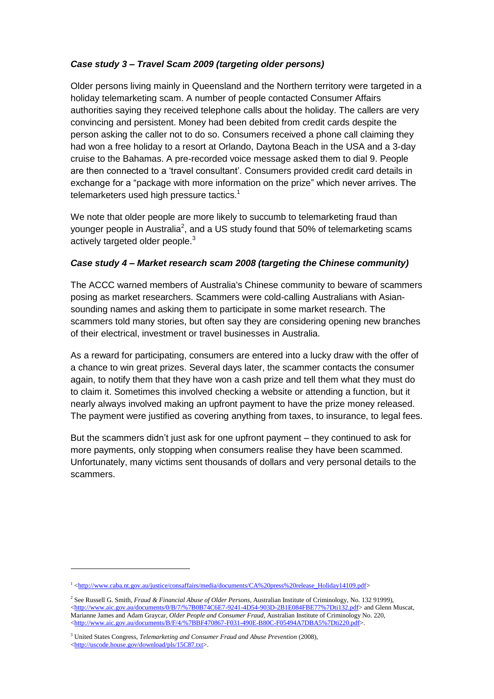# *Case study 3 – Travel Scam 2009 (targeting older persons)*

Older persons living mainly in Queensland and the Northern territory were targeted in a holiday telemarketing scam. A number of people contacted Consumer Affairs authorities saying they received telephone calls about the holiday. The callers are very convincing and persistent. Money had been debited from credit cards despite the person asking the caller not to do so. Consumers received a phone call claiming they had won a free holiday to a resort at Orlando, Daytona Beach in the USA and a 3-day cruise to the Bahamas. A pre-recorded voice message asked them to dial 9. People are then connected to a "travel consultant". Consumers provided credit card details in exchange for a "package with more information on the prize" which never arrives. The telemarketers used high pressure tactics.<sup>1</sup>

We note that older people are more likely to succumb to telemarketing fraud than younger people in Australia<sup>2</sup>, and a US study found that 50% of telemarketing scams actively targeted older people.<sup>3</sup>

# *Case study 4 – Market research scam 2008 (targeting the Chinese community)*

The ACCC warned members of Australia's Chinese community to beware of scammers posing as market researchers. Scammers were cold-calling Australians with Asiansounding names and asking them to participate in some market research. The scammers told many stories, but often say they are considering opening new branches of their electrical, investment or travel businesses in Australia.

As a reward for participating, consumers are entered into a lucky draw with the offer of a chance to win great prizes. Several days later, the scammer contacts the consumer again, to notify them that they have won a cash prize and tell them what they must do to claim it. Sometimes this involved checking a website or attending a function, but it nearly always involved making an upfront payment to have the prize money released. The payment were justified as covering anything from taxes, to insurance, to legal fees.

But the scammers didn"t just ask for one upfront payment – they continued to ask for more payments, only stopping when consumers realise they have been scammed. Unfortunately, many victims sent thousands of dollars and very personal details to the scammers.

-

<sup>1</sup> [<http://www.caba.nt.gov.au/justice/consaffairs/media/documents/CA%20press%20release\\_Holiday14109.pdf>](http://www.caba.nt.gov.au/justice/consaffairs/media/documents/CA%20press%20release_Holiday14109.pdf)

<sup>2</sup> See Russell G. Smith, *Fraud & Financial Abuse of Older Persons*, Australian Institute of Criminology, No. 132 91999), [<http://www.aic.gov.au/documents/0/B/7/%7B0B74C6E7-9241-4D54-903D-2B1E084FBE77%7Dti132.pdf>](http://www.aic.gov.au/documents/0/B/7/%7B0B74C6E7-9241-4D54-903D-2B1E084FBE77%7Dti132.pdf) and Glenn Muscat, Marianne James and Adam Graycar, *Older People and Consumer Fraud*, Australian Institute of Criminology No. 220, [<http://www.aic.gov.au/documents/B/F/4/%7BBF470867-F031-490E-B80C-F05494A7DBA5%7Dti220.pdf>](http://www.aic.gov.au/documents/B/F/4/%7BBF470867-F031-490E-B80C-F05494A7DBA5%7Dti220.pdf).

<sup>3</sup> United States Congress, *Telemarketing and Consumer Fraud and Abuse Prevention* (2008), [<http://uscode.house.gov/download/pls/15C87.txt>](http://uscode.house.gov/download/pls/15C87.txt).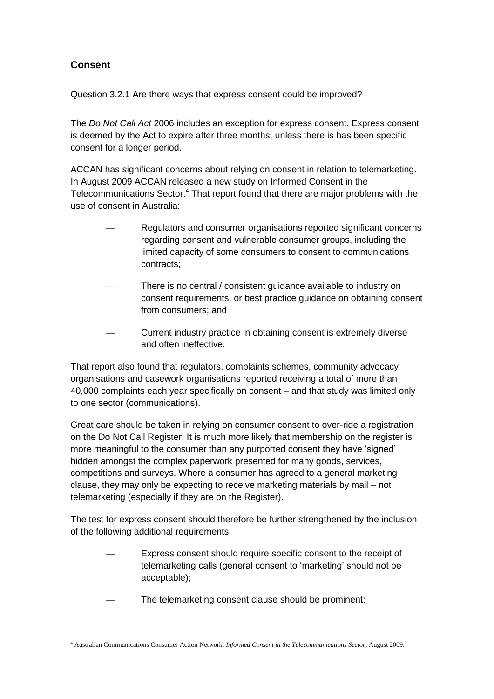# **Consent**

1

Question 3.2.1 Are there ways that express consent could be improved?

The *Do Not Call Act* 2006 includes an exception for express consent. Express consent is deemed by the Act to expire after three months, unless there is has been specific consent for a longer period.

ACCAN has significant concerns about relying on consent in relation to telemarketing. In August 2009 ACCAN released a new study on Informed Consent in the Telecommunications Sector.<sup>4</sup> That report found that there are major problems with the use of consent in Australia:

- Regulators and consumer organisations reported significant concerns regarding consent and vulnerable consumer groups, including the limited capacity of some consumers to consent to communications contracts;
- There is no central / consistent guidance available to industry on consent requirements, or best practice guidance on obtaining consent from consumers; and
- Current industry practice in obtaining consent is extremely diverse and often ineffective.

That report also found that regulators, complaints schemes, community advocacy organisations and casework organisations reported receiving a total of more than 40,000 complaints each year specifically on consent – and that study was limited only to one sector (communications).

Great care should be taken in relying on consumer consent to over-ride a registration on the Do Not Call Register. It is much more likely that membership on the register is more meaningful to the consumer than any purported consent they have "signed" hidden amongst the complex paperwork presented for many goods, services, competitions and surveys. Where a consumer has agreed to a general marketing clause, they may only be expecting to receive marketing materials by mail – not telemarketing (especially if they are on the Register).

The test for express consent should therefore be further strengthened by the inclusion of the following additional requirements:

- Express consent should require specific consent to the receipt of telemarketing calls (general consent to "marketing" should not be acceptable);
- The telemarketing consent clause should be prominent;

<sup>4</sup> Australian Communications Consumer Action Network, *Informed Consent in the Telecommunications Sector*, August 2009.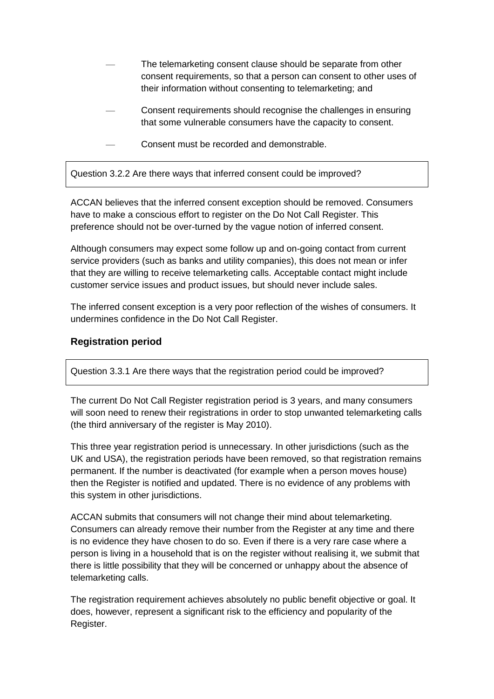- The telemarketing consent clause should be separate from other consent requirements, so that a person can consent to other uses of their information without consenting to telemarketing; and
- Consent requirements should recognise the challenges in ensuring that some vulnerable consumers have the capacity to consent.
	- Consent must be recorded and demonstrable.

Question 3.2.2 Are there ways that inferred consent could be improved?

ACCAN believes that the inferred consent exception should be removed. Consumers have to make a conscious effort to register on the Do Not Call Register. This preference should not be over-turned by the vague notion of inferred consent.

Although consumers may expect some follow up and on-going contact from current service providers (such as banks and utility companies), this does not mean or infer that they are willing to receive telemarketing calls. Acceptable contact might include customer service issues and product issues, but should never include sales.

The inferred consent exception is a very poor reflection of the wishes of consumers. It undermines confidence in the Do Not Call Register.

# **Registration period**

Question 3.3.1 Are there ways that the registration period could be improved?

The current Do Not Call Register registration period is 3 years, and many consumers will soon need to renew their registrations in order to stop unwanted telemarketing calls (the third anniversary of the register is May 2010).

This three year registration period is unnecessary. In other jurisdictions (such as the UK and USA), the registration periods have been removed, so that registration remains permanent. If the number is deactivated (for example when a person moves house) then the Register is notified and updated. There is no evidence of any problems with this system in other jurisdictions.

ACCAN submits that consumers will not change their mind about telemarketing. Consumers can already remove their number from the Register at any time and there is no evidence they have chosen to do so. Even if there is a very rare case where a person is living in a household that is on the register without realising it, we submit that there is little possibility that they will be concerned or unhappy about the absence of telemarketing calls.

The registration requirement achieves absolutely no public benefit objective or goal. It does, however, represent a significant risk to the efficiency and popularity of the Register.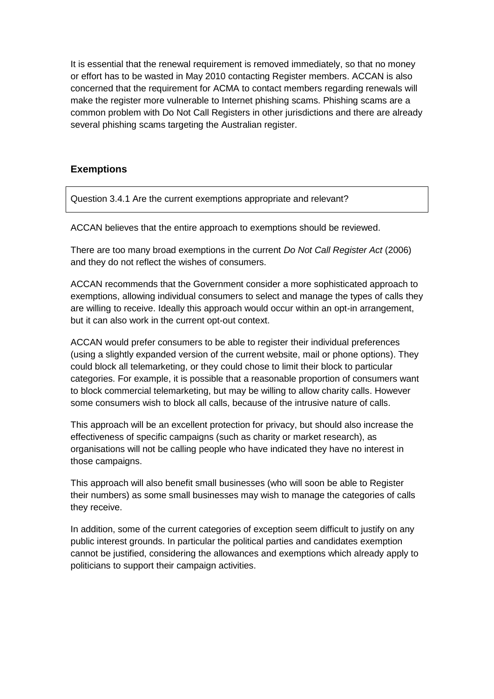It is essential that the renewal requirement is removed immediately, so that no money or effort has to be wasted in May 2010 contacting Register members. ACCAN is also concerned that the requirement for ACMA to contact members regarding renewals will make the register more vulnerable to Internet phishing scams. Phishing scams are a common problem with Do Not Call Registers in other jurisdictions and there are already several phishing scams targeting the Australian register.

# **Exemptions**

Question 3.4.1 Are the current exemptions appropriate and relevant?

ACCAN believes that the entire approach to exemptions should be reviewed.

There are too many broad exemptions in the current *Do Not Call Register Act* (2006) and they do not reflect the wishes of consumers.

ACCAN recommends that the Government consider a more sophisticated approach to exemptions, allowing individual consumers to select and manage the types of calls they are willing to receive. Ideally this approach would occur within an opt-in arrangement, but it can also work in the current opt-out context.

ACCAN would prefer consumers to be able to register their individual preferences (using a slightly expanded version of the current website, mail or phone options). They could block all telemarketing, or they could chose to limit their block to particular categories. For example, it is possible that a reasonable proportion of consumers want to block commercial telemarketing, but may be willing to allow charity calls. However some consumers wish to block all calls, because of the intrusive nature of calls.

This approach will be an excellent protection for privacy, but should also increase the effectiveness of specific campaigns (such as charity or market research), as organisations will not be calling people who have indicated they have no interest in those campaigns.

This approach will also benefit small businesses (who will soon be able to Register their numbers) as some small businesses may wish to manage the categories of calls they receive.

In addition, some of the current categories of exception seem difficult to justify on any public interest grounds. In particular the political parties and candidates exemption cannot be justified, considering the allowances and exemptions which already apply to politicians to support their campaign activities.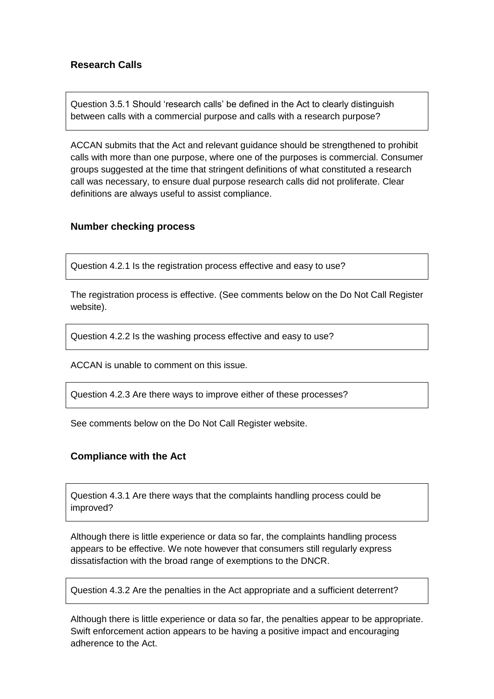# **Research Calls**

Question 3.5.1 Should "research calls" be defined in the Act to clearly distinguish between calls with a commercial purpose and calls with a research purpose?

ACCAN submits that the Act and relevant guidance should be strengthened to prohibit calls with more than one purpose, where one of the purposes is commercial. Consumer groups suggested at the time that stringent definitions of what constituted a research call was necessary, to ensure dual purpose research calls did not proliferate. Clear definitions are always useful to assist compliance.

### **Number checking process**

Question 4.2.1 Is the registration process effective and easy to use?

The registration process is effective. (See comments below on the Do Not Call Register website).

Question 4.2.2 Is the washing process effective and easy to use?

ACCAN is unable to comment on this issue.

Question 4.2.3 Are there ways to improve either of these processes?

See comments below on the Do Not Call Register website.

### **Compliance with the Act**

Question 4.3.1 Are there ways that the complaints handling process could be improved?

Although there is little experience or data so far, the complaints handling process appears to be effective. We note however that consumers still regularly express dissatisfaction with the broad range of exemptions to the DNCR.

Question 4.3.2 Are the penalties in the Act appropriate and a sufficient deterrent?

Although there is little experience or data so far, the penalties appear to be appropriate. Swift enforcement action appears to be having a positive impact and encouraging adherence to the Act.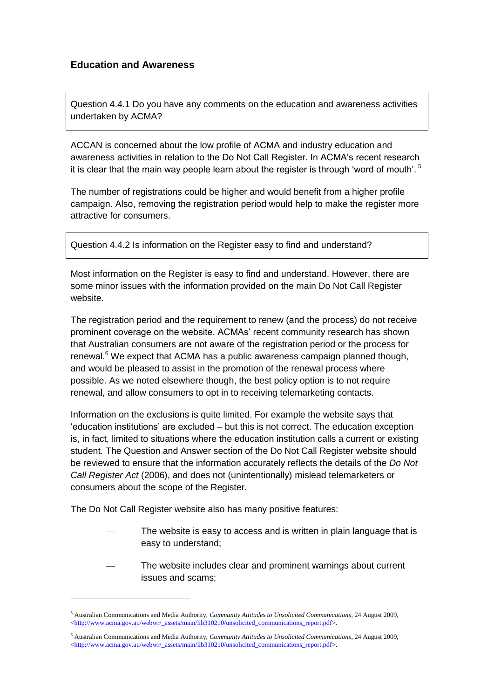# **Education and Awareness**

Question 4.4.1 Do you have any comments on the education and awareness activities undertaken by ACMA?

ACCAN is concerned about the low profile of ACMA and industry education and awareness activities in relation to the Do Not Call Register. In ACMA"s recent research it is clear that the main way people learn about the register is through 'word of mouth'.  $5$ 

The number of registrations could be higher and would benefit from a higher profile campaign. Also, removing the registration period would help to make the register more attractive for consumers.

```
Question 4.4.2 Is information on the Register easy to find and understand?
```
Most information on the Register is easy to find and understand. However, there are some minor issues with the information provided on the main Do Not Call Register website.

The registration period and the requirement to renew (and the process) do not receive prominent coverage on the website. ACMAs" recent community research has shown that Australian consumers are not aware of the registration period or the process for renewal.<sup>6</sup> We expect that ACMA has a public awareness campaign planned though, and would be pleased to assist in the promotion of the renewal process where possible. As we noted elsewhere though, the best policy option is to not require renewal, and allow consumers to opt in to receiving telemarketing contacts.

Information on the exclusions is quite limited. For example the website says that "education institutions" are excluded – but this is not correct. The education exception is, in fact, limited to situations where the education institution calls a current or existing student. The Question and Answer section of the Do Not Call Register website should be reviewed to ensure that the information accurately reflects the details of the *Do Not Call Register Act* (2006), and does not (unintentionally) mislead telemarketers or consumers about the scope of the Register.

The Do Not Call Register website also has many positive features:

1

- The website is easy to access and is written in plain language that is easy to understand;
- The website includes clear and prominent warnings about current issues and scams;

<sup>5</sup> Australian Communications and Media Authority, *Community Attitudes to Unsolicited Communications*, 24 August 2009, [<http://www.acma.gov.au/webwr/\\_assets/main/lib310210/unsolicited\\_communications\\_report.pdf>](http://www.acma.gov.au/webwr/_assets/main/lib310210/unsolicited_communications_report.pdf).

<sup>6</sup> Australian Communications and Media Authority, *Community Attitudes to Unsolicited Communications*, 24 August 2009, [<http://www.acma.gov.au/webwr/\\_assets/main/lib310210/unsolicited\\_communications\\_report.pdf>](http://www.acma.gov.au/webwr/_assets/main/lib310210/unsolicited_communications_report.pdf).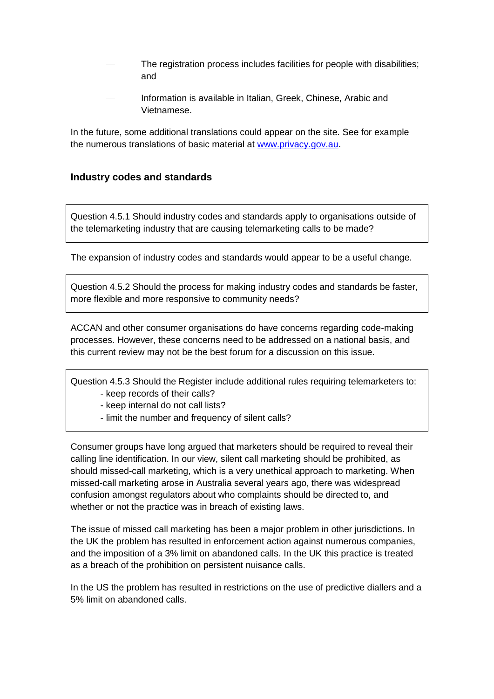- The registration process includes facilities for people with disabilities; and
- Information is available in Italian, Greek, Chinese, Arabic and Vietnamese.

In the future, some additional translations could appear on the site. See for example the numerous translations of basic material at [www.privacy.gov.au.](http://www.privacy.gov.au/)

# **Industry codes and standards**

Question 4.5.1 Should industry codes and standards apply to organisations outside of the telemarketing industry that are causing telemarketing calls to be made?

The expansion of industry codes and standards would appear to be a useful change.

Question 4.5.2 Should the process for making industry codes and standards be faster, more flexible and more responsive to community needs?

ACCAN and other consumer organisations do have concerns regarding code-making processes. However, these concerns need to be addressed on a national basis, and this current review may not be the best forum for a discussion on this issue.

Question 4.5.3 Should the Register include additional rules requiring telemarketers to: - keep records of their calls?

- keep internal do not call lists?
- limit the number and frequency of silent calls?

Consumer groups have long argued that marketers should be required to reveal their calling line identification. In our view, silent call marketing should be prohibited, as should missed-call marketing, which is a very unethical approach to marketing. When missed-call marketing arose in Australia several years ago, there was widespread confusion amongst regulators about who complaints should be directed to, and whether or not the practice was in breach of existing laws.

The issue of missed call marketing has been a major problem in other jurisdictions. In the UK the problem has resulted in enforcement action against numerous companies, and the imposition of a 3% limit on abandoned calls. In the UK this practice is treated as a breach of the prohibition on persistent nuisance calls.

In the US the problem has resulted in restrictions on the use of predictive diallers and a 5% limit on abandoned calls.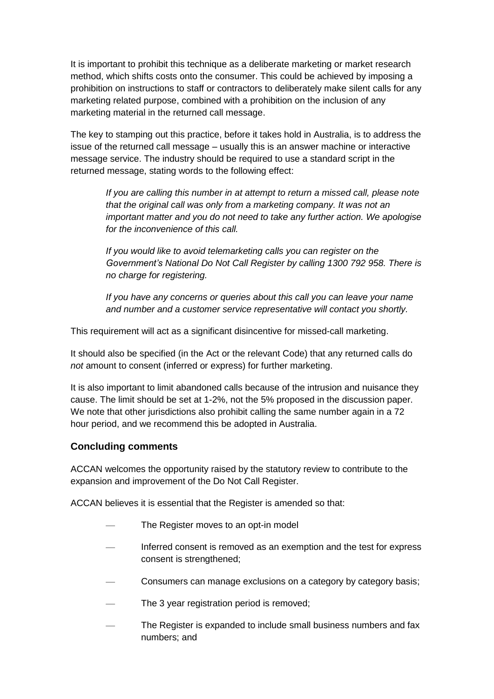It is important to prohibit this technique as a deliberate marketing or market research method, which shifts costs onto the consumer. This could be achieved by imposing a prohibition on instructions to staff or contractors to deliberately make silent calls for any marketing related purpose, combined with a prohibition on the inclusion of any marketing material in the returned call message.

The key to stamping out this practice, before it takes hold in Australia, is to address the issue of the returned call message – usually this is an answer machine or interactive message service. The industry should be required to use a standard script in the returned message, stating words to the following effect:

*If you are calling this number in at attempt to return a missed call, please note that the original call was only from a marketing company. It was not an important matter and you do not need to take any further action. We apologise for the inconvenience of this call.*

*If you would like to avoid telemarketing calls you can register on the Government's National Do Not Call Register by calling 1300 792 958. There is no charge for registering.*

*If you have any concerns or queries about this call you can leave your name and number and a customer service representative will contact you shortly.*

This requirement will act as a significant disincentive for missed-call marketing.

It should also be specified (in the Act or the relevant Code) that any returned calls do *not* amount to consent (inferred or express) for further marketing.

It is also important to limit abandoned calls because of the intrusion and nuisance they cause. The limit should be set at 1-2%, not the 5% proposed in the discussion paper. We note that other jurisdictions also prohibit calling the same number again in a 72 hour period, and we recommend this be adopted in Australia.

# **Concluding comments**

ACCAN welcomes the opportunity raised by the statutory review to contribute to the expansion and improvement of the Do Not Call Register.

ACCAN believes it is essential that the Register is amended so that:

- The Register moves to an opt-in model
- Inferred consent is removed as an exemption and the test for express consent is strengthened;
- Consumers can manage exclusions on a category by category basis;
- The 3 year registration period is removed;
- The Register is expanded to include small business numbers and fax numbers; and